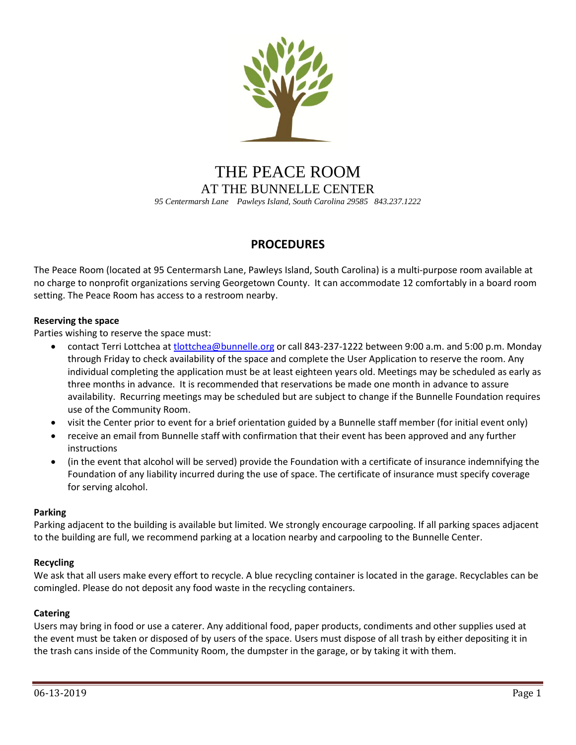

# THE PEACE ROOM AT THE BUNNELLE CENTER *95 Centermarsh Lane Pawleys Island, South Carolina 29585 843.237.1222*

# **PROCEDURES**

The Peace Room (located at 95 Centermarsh Lane, Pawleys Island, South Carolina) is a multi-purpose room available at no charge to nonprofit organizations serving Georgetown County. It can accommodate 12 comfortably in a board room setting. The Peace Room has access to a restroom nearby.

# **Reserving the space**

Parties wishing to reserve the space must:

- contact Terri Lottchea a[t tlottchea@bunnelle.org](mailto:tlottchea@bunnelle.org) or call 843-237-1222 between 9:00 a.m. and 5:00 p.m. Monday through Friday to check availability of the space and complete the User Application to reserve the room. Any individual completing the application must be at least eighteen years old. Meetings may be scheduled as early as three months in advance. It is recommended that reservations be made one month in advance to assure availability. Recurring meetings may be scheduled but are subject to change if the Bunnelle Foundation requires use of the Community Room.
- visit the Center prior to event for a brief orientation guided by a Bunnelle staff member (for initial event only)
- receive an email from Bunnelle staff with confirmation that their event has been approved and any further instructions
- (in the event that alcohol will be served) provide the Foundation with a certificate of insurance indemnifying the Foundation of any liability incurred during the use of space. The certificate of insurance must specify coverage for serving alcohol.

#### **Parking**

Parking adjacent to the building is available but limited. We strongly encourage carpooling. If all parking spaces adjacent to the building are full, we recommend parking at a location nearby and carpooling to the Bunnelle Center.

#### **Recycling**

We ask that all users make every effort to recycle. A blue recycling container is located in the garage. Recyclables can be comingled. Please do not deposit any food waste in the recycling containers.

#### **Catering**

Users may bring in food or use a caterer. Any additional food, paper products, condiments and other supplies used at the event must be taken or disposed of by users of the space. Users must dispose of all trash by either depositing it in the trash cans inside of the Community Room, the dumpster in the garage, or by taking it with them.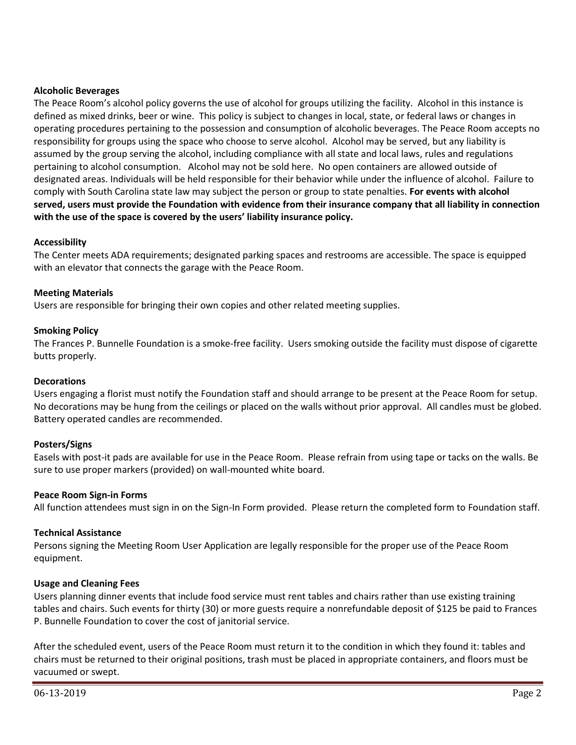#### **Alcoholic Beverages**

The Peace Room's alcohol policy governs the use of alcohol for groups utilizing the facility. Alcohol in this instance is defined as mixed drinks, beer or wine. This policy is subject to changes in local, state, or federal laws or changes in operating procedures pertaining to the possession and consumption of alcoholic beverages. The Peace Room accepts no responsibility for groups using the space who choose to serve alcohol. Alcohol may be served, but any liability is assumed by the group serving the alcohol, including compliance with all state and local laws, rules and regulations pertaining to alcohol consumption. Alcohol may not be sold here. No open containers are allowed outside of designated areas. Individuals will be held responsible for their behavior while under the influence of alcohol. Failure to comply with South Carolina state law may subject the person or group to state penalties. **For events with alcohol served, users must provide the Foundation with evidence from their insurance company that all liability in connection with the use of the space is covered by the users' liability insurance policy.**

## **Accessibility**

The Center meets ADA requirements; designated parking spaces and restrooms are accessible. The space is equipped with an elevator that connects the garage with the Peace Room.

#### **Meeting Materials**

Users are responsible for bringing their own copies and other related meeting supplies.

## **Smoking Policy**

The Frances P. Bunnelle Foundation is a smoke-free facility. Users smoking outside the facility must dispose of cigarette butts properly.

#### **Decorations**

Users engaging a florist must notify the Foundation staff and should arrange to be present at the Peace Room for setup. No decorations may be hung from the ceilings or placed on the walls without prior approval. All candles must be globed. Battery operated candles are recommended.

# **Posters/Signs**

Easels with post-it pads are available for use in the Peace Room. Please refrain from using tape or tacks on the walls. Be sure to use proper markers (provided) on wall-mounted white board.

#### **Peace Room Sign-in Forms**

All function attendees must sign in on the Sign-In Form provided. Please return the completed form to Foundation staff.

#### **Technical Assistance**

Persons signing the Meeting Room User Application are legally responsible for the proper use of the Peace Room equipment.

#### **Usage and Cleaning Fees**

Users planning dinner events that include food service must rent tables and chairs rather than use existing training tables and chairs. Such events for thirty (30) or more guests require a nonrefundable deposit of \$125 be paid to Frances P. Bunnelle Foundation to cover the cost of janitorial service.

After the scheduled event, users of the Peace Room must return it to the condition in which they found it: tables and chairs must be returned to their original positions, trash must be placed in appropriate containers, and floors must be vacuumed or swept.